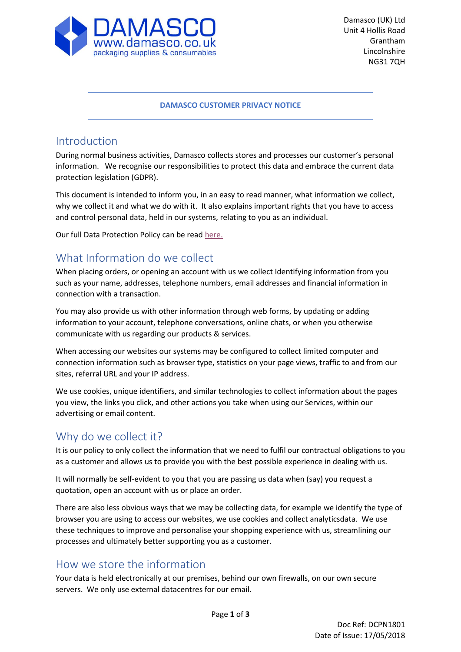

#### **DAMASCO CUSTOMER PRIVACY NOTICE**

#### Introduction

During normal business activities, Damasco collects stores and processes our customer's personal information. We recognise our responsibilities to protect this data and embrace the current data protection legislation (GDPR).

This document is intended to inform you, in an easy to read manner, what information we collect, why we collect it and what we do with it. It also explains important rights that you have to access and control personal data, held in our systems, relating to you as an individual.

Our full Data Protection Policy can be rea[d here.](https://www.damasco.co.uk/pdf/Damasco%20Data%20Protection%20Policy.pdf)

## What Information do we collect

When placing orders, or opening an account with us we collect Identifying information from you such as your name, addresses, telephone numbers, email addresses and financial information in connection with a transaction.

You may also provide us with other information through web forms, by updating or adding information to your account, telephone conversations, online chats, or when you otherwise communicate with us regarding our products & services.

When accessing our websites our systems may be configured to collect limited computer and connection information such as browser type, statistics on your page views, traffic to and from our sites, referral URL and your IP address.

We use cookies, unique identifiers, and similar technologies to collect information about the pages you view, the links you click, and other actions you take when using our Services, within our advertising or email content.

#### Why do we collect it?

It is our policy to only collect the information that we need to fulfil our contractual obligations to you as a customer and allows us to provide you with the best possible experience in dealing with us.

It will normally be self-evident to you that you are passing us data when (say) you request a quotation, open an account with us or place an order.

There are also less obvious ways that we may be collecting data, for example we identify the type of browser you are using to access our websites, we use cookies and collect analyticsdata. We use these techniques to improve and personalise your shopping experience with us, streamlining our processes and ultimately better supporting you as a customer.

#### How we store the information

Your data is held electronically at our premises, behind our own firewalls, on our own secure servers. We only use external datacentres for our email.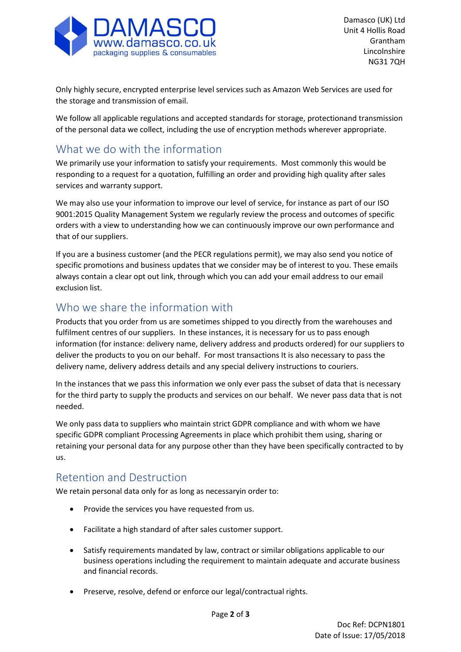

Only highly secure, encrypted enterprise level services such as Amazon Web Services are used for the storage and transmission of email.

We follow all applicable regulations and accepted standards for storage, protectionand transmission of the personal data we collect, including the use of encryption methods wherever appropriate.

# What we do with the information

We primarily use your information to satisfy your requirements. Most commonly this would be responding to a request for a quotation, fulfilling an order and providing high quality after sales services and warranty support.

We may also use your information to improve our level of service, for instance as part of our ISO 9001:2015 Quality Management System we regularly review the process and outcomes of specific orders with a view to understanding how we can continuously improve our own performance and that of our suppliers.

If you are a business customer (and the PECR regulations permit), we may also send you notice of specific promotions and business updates that we consider may be of interest to you. These emails always contain a clear opt out link, through which you can add your email address to our email exclusion list.

## Who we share the information with

Products that you order from us are sometimes shipped to you directly from the warehouses and fulfilment centres of our suppliers. In these instances, it is necessary for us to pass enough information (for instance: delivery name, delivery address and products ordered) for our suppliers to deliver the products to you on our behalf. For most transactions It is also necessary to pass the delivery name, delivery address details and any special delivery instructions to couriers.

In the instances that we pass this information we only ever pass the subset of data that is necessary for the third party to supply the products and services on our behalf. We never pass data that is not needed.

We only pass data to suppliers who maintain strict GDPR compliance and with whom we have specific GDPR compliant Processing Agreements in place which prohibit them using, sharing or retaining your personal data for any purpose other than they have been specifically contracted to by us.

## Retention and Destruction

We retain personal data only for as long as necessaryin order to:

- Provide the services you have requested from us.
- Facilitate a high standard of after sales customer support.
- Satisfy requirements mandated by law, contract or similar obligations applicable to our business operations including the requirement to maintain adequate and accurate business and financial records.
- Preserve, resolve, defend or enforce our legal/contractual rights.